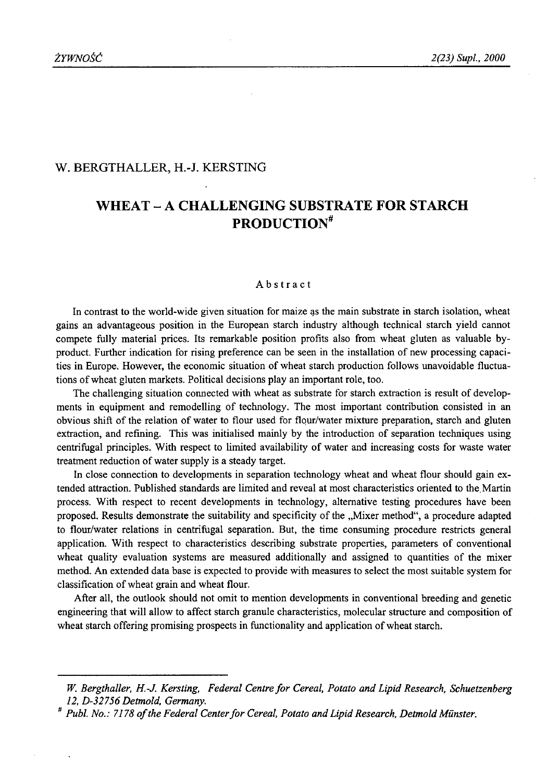#### W. BERGTHALLER, H.-J. KERSTING

# **WHEAT - A CHALLENGING SUBSTRATE FOR STARCH PRODUCTION**

#### Abstract

In contrast to the world-wide given situation for maize as the main substrate in starch isolation, wheat gains an advantageous position in the European starch industry although technical starch yield cannot compete fully material prices. Its remarkable position profits also from wheat gluten as valuable byproduct. Further indication for rising preference can be seen in the installation of new processing capacities in Europe. However, the economic situation of wheat starch production follows unavoidable fluctuations of wheat gluten markets. Political decisions play an important role, too.

The challenging situation connected with wheat as substrate for starch extraction is result of developments in equipment and remodelling of technology. The most important contribution consisted in an obvious shift of the relation of water to flour used for flour/water mixture preparation, starch and gluten extraction, and refining. This was initialised mainly by the introduction of separation techniques using centrifugal principles. With respect to limited availability of water and increasing costs for waste water treatment reduction of water supply is a steady target.

In close connection to developments in separation technology wheat and wheat flour should gain extended attraction. Published standards are limited and reveal at most characteristics oriented to the, Martin process. With respect to recent developments in technology, alternative testing procedures have been proposed. Results demonstrate the suitability and specificity of the "Mixer method", a procedure adapted to flour/water relations in centrifugal separation. But, the time consuming procedure restricts general application. With respect to characteristics describing substrate properties, parameters of conventional wheat quality evaluation systems are measured additionally and assigned to quantities of the mixer method. An extended data base is expected to provide with measures to select the most suitable system for classification of wheat grain and wheat flour.

After all, the outlook should not omit to mention developments in conventional breeding and genetic engineering that will allow to affect starch granule characteristics, molecular structure and composition of wheat starch offering promising prospects in functionality and application of wheat starch.

*W. Bergthaller, H.-J. Kersting, Federal Centre for Cereal, Potato and Lipid Research, Schuetzenberg 12, D-32756 Detmold, Germany.*

<sup>#</sup> *Publ. No.: 7178 o f the Federal Center fo r Cereal, Potato and Lipid Research, Detmold Munster.*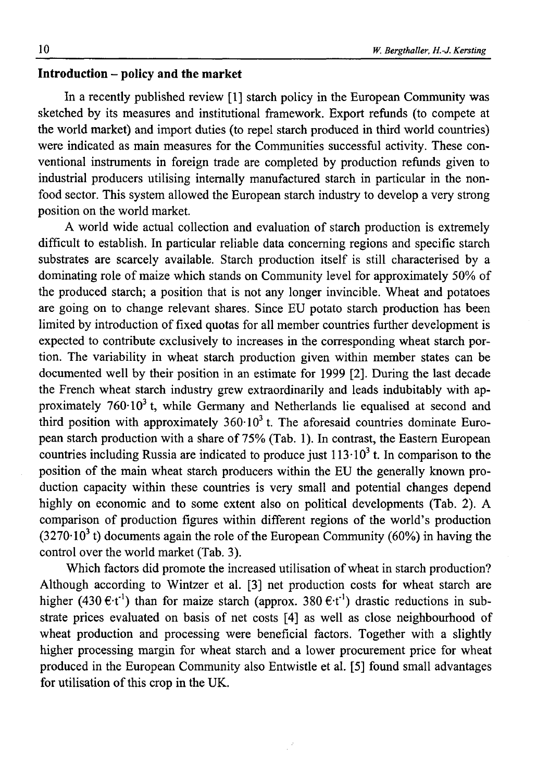## **Introduction - policy and the market**

In a recently published review [1] starch policy in the European Community was sketched by its measures and institutional framework. Export refunds (to compete at the world market) and import duties (to repel starch produced in third world countries) were indicated as main measures for the Communities successful activity. These conventional instruments in foreign trade are completed by production refunds given to industrial producers utilising internally manufactured starch in particular in the nonfood sector. This system allowed the European starch industry to develop a very strong position on the world market.

A world wide actual collection and evaluation of starch production is extremely difficult to establish. In particular reliable data concerning regions and specific starch substrates are scarcely available. Starch production itself is still characterised by a dominating role of maize which stands on Community level for approximately 50% of the produced starch; a position that is not any longer invincible. Wheat and potatoes are going on to change relevant shares. Since EU potato starch production has been limited by introduction of fixed quotas for all member countries further development is expected to contribute exclusively to increases in the corresponding wheat starch portion. The variability in wheat starch production given within member states can be documented well by their position in an estimate for 1999 [2]. During the last decade the French wheat starch industry grew extraordinarily and leads indubitably with approximately  $760 \cdot 10^3$  t, while Germany and Netherlands lie equalised at second and third position with approximately  $360 \cdot 10^3$  t. The aforesaid countries dominate European starch production with a share of 75% (Tab. 1). In contrast, the Eastern European countries including Russia are indicated to produce just  $113 \cdot 10^3$  t. In comparison to the position of the main wheat starch producers within the EU the generally known production capacity within these countries is very small and potential changes depend highly on economic and to some extent also on political developments (Tab. 2). A comparison of production figures within different regions of the world's production  $(3270.10<sup>3</sup>)$  documents again the role of the European Community (60%) in having the control over the world market (Tab. 3).

Which factors did promote the increased utilisation of wheat in starch production? Although according to Wintzer et al. [3] net production costs for wheat starch are higher (430  $\epsilon$ -t<sup>-1</sup>) than for maize starch (approx. 380  $\epsilon$ -t<sup>-1</sup>) drastic reductions in substrate prices evaluated on basis of net costs [4] as well as close neighbourhood of wheat production and processing were beneficial factors. Together with a slightly higher processing margin for wheat starch and a lower procurement price for wheat produced in the European Community also Entwistle et al. [5] found small advantages for utilisation of this crop in the UK.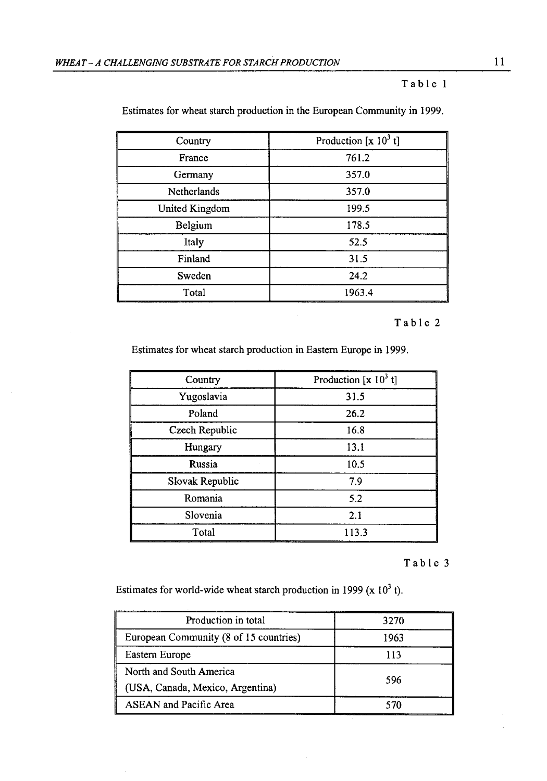#### Table 1

| Country        | Production $[x 10^3 t]$ |  |  |  |
|----------------|-------------------------|--|--|--|
| France         | 761.2                   |  |  |  |
| Germany        | 357.0                   |  |  |  |
| Netherlands    | 357.0                   |  |  |  |
| United Kingdom | 199.5                   |  |  |  |
| Belgium        | 178.5                   |  |  |  |
| Italy          | 52.5                    |  |  |  |
| Finland        | 31.5                    |  |  |  |
| Sweden         | 24.2                    |  |  |  |
| Total          | 1963.4                  |  |  |  |

Estimates for wheat starch production in the European Community in 1999.

#### Table 2

Estimates for wheat starch production in Eastern Europe in 1999.

| Country         | Production [x $10^3$ t] |  |  |  |
|-----------------|-------------------------|--|--|--|
| Yugoslavia      | 31.5                    |  |  |  |
| Poland          | 26.2                    |  |  |  |
| Czech Republic  | 16.8                    |  |  |  |
| Hungary         | 13.1                    |  |  |  |
| Russia          | 10.5                    |  |  |  |
| Slovak Republic | 7.9                     |  |  |  |
| Romania         | 5.2                     |  |  |  |
| Slovenia        | 2.1                     |  |  |  |
| Total           | 113.3                   |  |  |  |

#### Table 3

Estimates for world-wide wheat starch production in 1999 ( $x$  10<sup>3</sup> t).

| Production in total                    | 3270 |  |  |
|----------------------------------------|------|--|--|
| European Community (8 of 15 countries) | 1963 |  |  |
| Eastern Europe                         | 113  |  |  |
| North and South America                | 596  |  |  |
| (USA, Canada, Mexico, Argentina)       |      |  |  |
| <b>ASEAN</b> and Pacific Area          |      |  |  |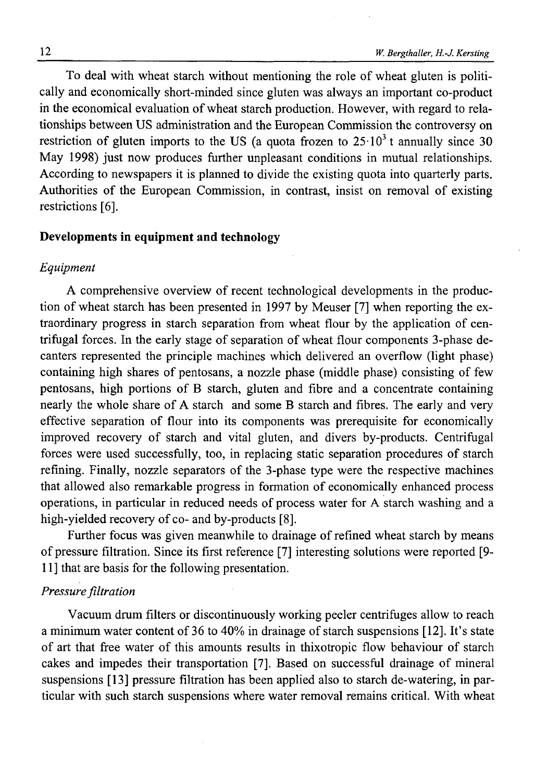To deal with wheat starch without mentioning the role of wheat gluten is politically and economically short-minded since gluten was always an important co-product in the economical evaluation of wheat starch production. However, with regard to relationships between US administration and the European Commission the controversy on restriction of gluten imports to the US (a quota frozen to  $25 \cdot 10^3$  t annually since 30 May 1998) just now produces further unpleasant conditions in mutual relationships. According to newspapers it is planned to divide the existing quota into quarterly parts. Authorities of the European Commission, in contrast, insist on removal of existing restrictions [6].

# **Developments in equipment and technology**

## *Equipment*

A comprehensive overview of recent technological developments in the production of wheat starch has been presented in 1997 by Meuser [7] when reporting the extraordinary progress in starch separation from wheat flour by the application of centrifugal forces. In the early stage of separation of wheat flour components 3-phase decanters represented the principle machines which delivered an overflow (light phase) containing high shares of pentosans, a nozzle phase (middle phase) consisting of few pentosans, high portions of B starch, gluten and fibre and a concentrate containing nearly the whole share of A starch and some B starch and fibres. The early and very effective separation of flour into its components was prerequisite for economically improved recovery of starch and vital gluten, and divers by-products. Centrifugal forces were used successfully, too, in replacing static separation procedures of starch refining. Finally, nozzle separators of the 3-phase type were the respective machines that allowed also remarkable progress in formation of economically enhanced process operations, in particular in reduced needs of process water for A starch washing and a high-yielded recovery of co- and by-products [8].

Further focus was given meanwhile to drainage of refined wheat starch by means of pressure filtration. Since its first reference [7] interesting solutions were reported [9- 11] that are basis for the following presentation.

## *Pressure filtration*

Vacuum drum filters or discontinuously working peeler centrifuges allow to reach a minimum water content of 36 to 40% in drainage of starch suspensions [12]. It's state of art that free water of this amounts results in thixotropic flow behaviour of starch cakes and impedes their transportation [7]. Based on successful drainage of mineral suspensions [13] pressure filtration has been applied also to starch de-watering, in particular with such starch suspensions where water removal remains critical. With wheat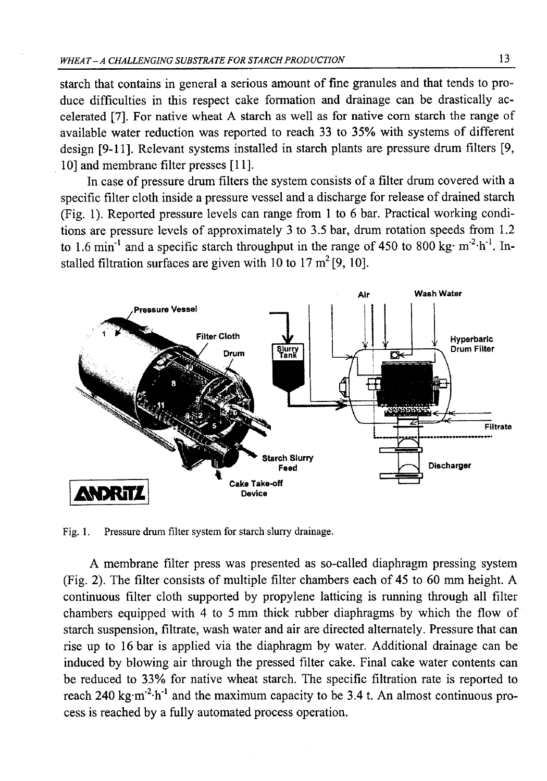starch that contains in general a serious amount of fine granules and that tends to produce difficulties in this respect cake formation and drainage can be drastically accelerated [7]. For native wheat A starch as well as for native com starch the range of available water reduction was reported to reach 33 to 35% with systems of different design [9-11]. Relevant systems installed in starch plants are pressure drum filters [9, 10] and membrane filter presses [11].

In case of pressure drum filters the system consists of a filter drum covered with a specific filter cloth inside a pressure vessel and a discharge for release of drained starch (Fig. 1). Reported pressure levels can range from 1 to 6 bar. Practical working conditions are pressure levels of approximately 3 to 3.5 bar, drum rotation speeds from 1.2 to 1.6 min<sup>-1</sup> and a specific starch throughput in the range of 450 to 800 kg· m<sup>-2</sup>·h<sup>-1</sup>. Installed filtration surfaces are given with 10 to 17  $m^2$  [9, 10].



Fig. 1. Pressure drum filter system for starch slurry drainage.

A membrane filter press was presented as so-called diaphragm pressing system (Fig. 2). The filter consists of multiple filter chambers each of 45 to 60 mm height. A continuous filter cloth supported by propylene latticing is running through all filter chambers equipped with 4 to 5 mm thick rubber diaphragms by which the flow of starch suspension, filtrate, wash water and air are directed alternately. Pressure that can rise up to 16 bar is applied via the diaphragm by water. Additional drainage can be induced by blowing air through the pressed filter cake. Final cake water contents can be reduced to 33% for native wheat starch. The specific filtration rate is reported to reach 240 kg·m<sup>-2</sup>·h<sup>-1</sup> and the maximum capacity to be 3.4 t. An almost continuous process is reached by a fully automated process operation.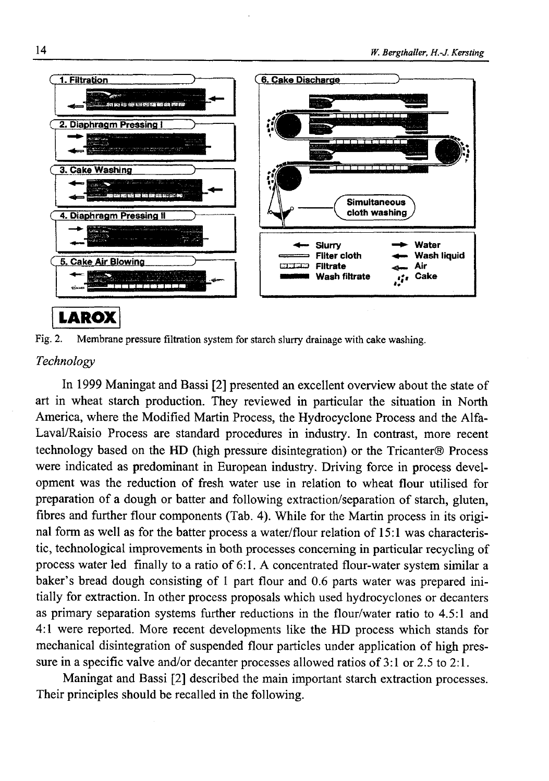

Fig. 2. Membrane pressure filtration system for starch slurry drainage with cake washing.

## *Technology*

In 1999 Maningat and Bassi [2] presented an excellent overview about the state of art in wheat starch production. They reviewed in particular the situation in North America, where the Modified Martin Process, the Hydrocyclone Process and the Alfa-Laval/Raisio Process are standard procedures in industry. In contrast, more recent technology based on the HD (high pressure disintegration) or the Tricanter® Process were indicated as predominant in European industry. Driving force in process development was the reduction of fresh water use in relation to wheat flour utilised for preparation of a dough or batter and following extraction/separation of starch, gluten, fibres and further flour components (Tab. 4). While for the Martin process in its original form as well as for the batter process a water/flour relation of 15:1 was characteristic, technological improvements in both processes concerning in particular recycling of process water led finally to a ratio of 6:1. A concentrated flour-water system similar a baker's bread dough consisting of 1 part flour and 0.6 parts water was prepared initially for extraction. In other process proposals which used hydrocyclones or decanters as primary separation systems further reductions in the flour/water ratio to 4.5:1 and 4:1 were reported. More recent developments like the HD process which stands for mechanical disintegration of suspended flour particles under application of high pressure in a specific valve and/or decanter processes allowed ratios of 3:1 or 2.5 to 2:1.

Maningat and Bassi [2] described the main important starch extraction processes. Their principles should be recalled in the following.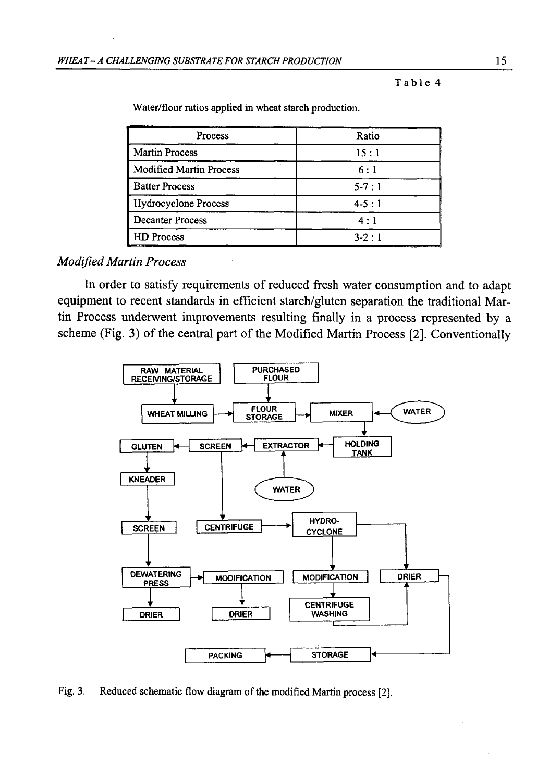Table 4

| Process                 | Ratio       |
|-------------------------|-------------|
| <b>Martin Process</b>   | 15:1        |
| Modified Martin Process | 6:1         |
| <b>Batter Process</b>   | $5 - 7 : 1$ |
| Hydrocyclone Process    | $4 - 5 : 1$ |
| <b>Decanter Process</b> | $4 \cdot 1$ |
| <b>HD</b> Process       | $3 - 2 : 1$ |

Water/flour ratios applied in wheat starch production.

## *Modified Martin Process*

In order to satisfy requirements of reduced fresh water consumption and to adapt equipment to recent standards in efficient starch/gluten separation the traditional Martin Process underwent improvements resulting finally in a process represented by a scheme (Fig. 3) of the central part of the Modified Martin Process [2]. Conventionally



Fig. 3. Reduced schematic flow diagram of the modified Martin process [2].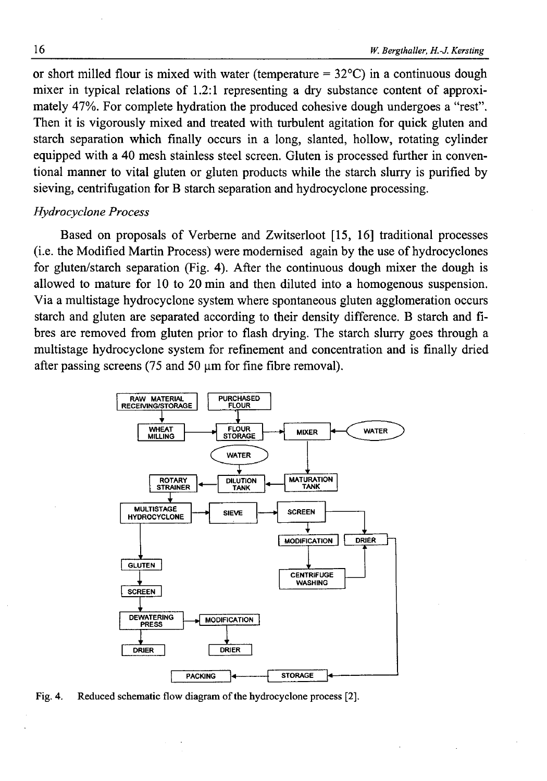or short milled flour is mixed with water (temperature  $= 32^{\circ}$ C) in a continuous dough mixer in typical relations of 1.2:1 representing a dry substance content of approximately 47%. For complete hydration the produced cohesive dough undergoes a "rest". Then it is vigorously mixed and treated with turbulent agitation for quick gluten and starch separation which finally occurs in a long, slanted, hollow, rotating cylinder equipped with a 40 mesh stainless steel screen. Gluten is processed further in conventional manner to vital gluten or gluten products while the starch slurry is purified by sieving, centrifugation for B starch separation and hydrocyclone processing.

## *Hydrocyclone Process*

Based on proposals of Verbeme and Zwitserloot [15, 16] traditional processes (i.e. the Modified Martin Process) were modernised again by the use of hydrocyclones for gluten/starch separation (Fig. 4). After the continuous dough mixer the dough is allowed to mature for 10 to 20 min and then diluted into a homogenous suspension. Via a multistage hydrocyclone system where spontaneous gluten agglomeration occurs starch and gluten are separated according to their density difference. B starch and fibres are removed from gluten prior to flash drying. The starch slurry goes through a multistage hydrocyclone system for refinement and concentration and is finally dried after passing screens (75 and 50  $\mu$ m for fine fibre removal).



Fig. 4. Reduced schematic flow diagram of the hydrocyclone process [2].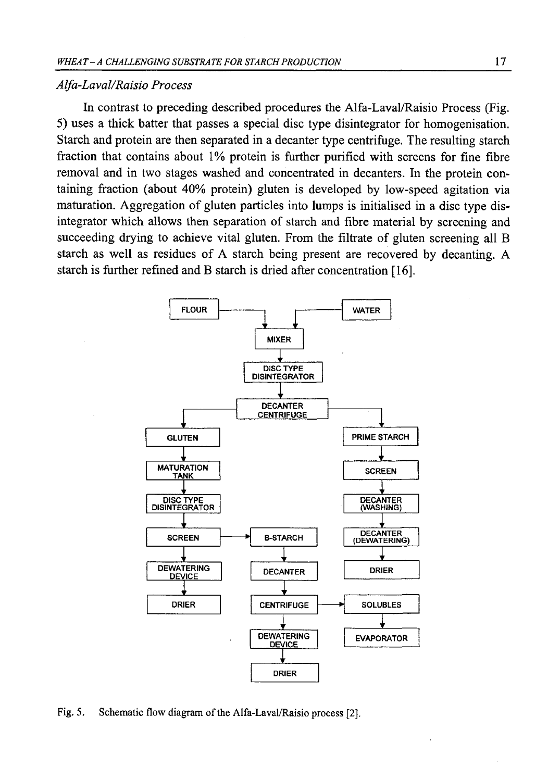### *Alfa-Laval/Raisio Process*

In contrast to preceding described procedures the Alfa-Laval/Raisio Process (Fig. 5) uses a thick batter that passes a special disc type disintegrator for homogenisation. Starch and protein are then separated in a decanter type centrifuge. The resulting starch fraction that contains about 1% protein is further purified with screens for fine fibre removal and in two stages washed and concentrated in decanters. In the protein containing fraction (about 40% protein) gluten is developed by low-speed agitation via maturation. Aggregation of gluten particles into lumps is initialised in a disc type disintegrator which allows then separation of starch and fibre material by screening and succeeding drying to achieve vital gluten. From the filtrate of gluten screening all B starch as well as residues of A starch being present are recovered by decanting. A starch is further refined and B starch is dried after concentration [16].



Fig. 5. Schematic flow diagram of the Alfa-Laval/Raisio process [2],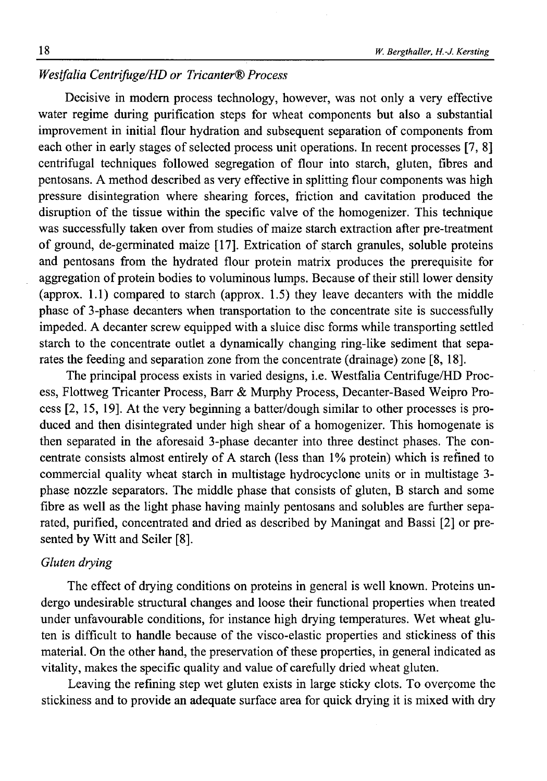# *Westfalia Centrifuge/HD or Tńcanter® Process*

Decisive in modern process technology, however, was not only a very effective water regime during purification steps for wheat components but also a substantial improvement in initial flour hydration and subsequent separation of components from each other in early stages of selected process unit operations. In recent processes [7, 8] centrifugal techniques followed segregation of flour into starch, gluten, fibres and pentosans. A method described as very effective in splitting flour components was high pressure disintegration where shearing forces, friction and cavitation produced the disruption of the tissue within the specific valve of the homogenizer. This technique was successfully taken over from studies of maize starch extraction after pre-treatment of ground, de-germinated maize [17]. Extrication of starch granules, soluble proteins and pentosans from the hydrated flour protein matrix produces the prerequisite for aggregation of protein bodies to voluminous lumps. Because of their still lower density (approx. 1.1) compared to starch (approx. 1.5) they leave decanters with the middle phase of 3-phase decanters when transportation to the concentrate site is successfully impeded. A decanter screw equipped with a sluice disc forms while transporting settled starch to the concentrate outlet a dynamically changing ring-like sediment that separates the feeding and separation zone from the concentrate (drainage) zone [8, 18].

The principal process exists in varied designs, i.e. Westfalia Centrifuge/HD Process, Flottweg Tricanter Process, Barr & Murphy Process, Decanter-Based Weipro Process [2, 15, 19]. At the very beginning a batter/dough similar to other processes is produced and then disintegrated under high shear of a homogenizer. This homogenate is then separated in the aforesaid 3-phase decanter into three destinct phases. The concentrate consists almost entirely of A starch (less than 1% protein) which is refined to commercial quality wheat starch in multistage hydrocyclone units or in multistage 3 phase nozzle separators. The middle phase that consists of gluten, B starch and some fibre as well as the light phase having mainly pentosans and solubles are further separated, purified, concentrated and dried as described by Maningat and Bassi [2] or presented by Witt and Seiler [8].

### *Gluten drying*

The effect of drying conditions on proteins in general is well known. Proteins undergo undesirable structural changes and loose their functional properties when treated under unfavourable conditions, for instance high drying temperatures. Wet wheat gluten is difficult to handle because of the visco-elastic properties and stickiness of this material. On the other hand, the preservation of these properties, in general indicated as vitality, makes the specific quality and value of carefully dried wheat gluten.

Leaving the refining step wet gluten exists in large sticky clots. To overcome the stickiness and to provide an adequate surface area for quick drying it is mixed with dry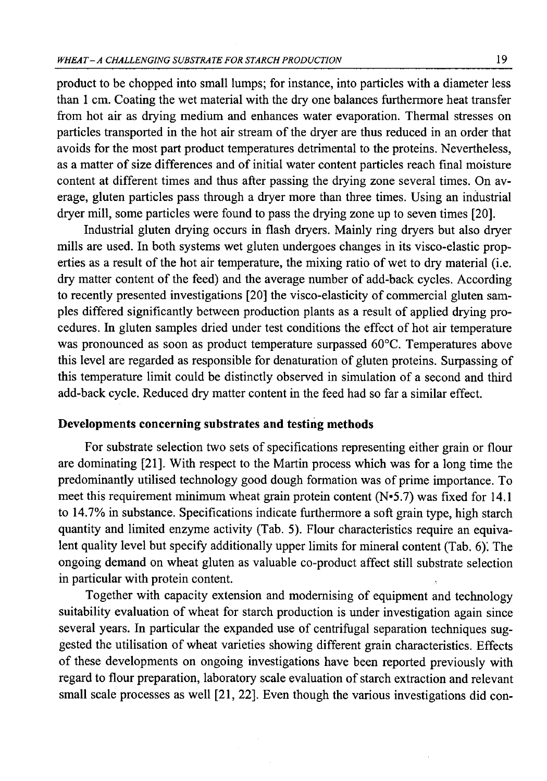product to be chopped into small lumps; for instance, into particles with a diameter less than 1 cm. Coating the wet material with the dry one balances furthermore heat transfer from hot air as drying medium and enhances water evaporation. Thermal stresses on particles transported in the hot air stream of the dryer are thus reduced in an order that avoids for the most part product temperatures detrimental to the proteins. Nevertheless, as a matter of size differences and of initial water content particles reach final moisture content at different times and thus after passing the drying zone several times. On average, gluten particles pass through a dryer more than three times. Using an industrial dryer mill, some particles were found to pass the drying zone up to seven times [20].

Industrial gluten drying occurs in flash dryers. Mainly ring dryers but also dryer mills are used. In both systems wet gluten undergoes changes in its visco-elastic properties as a result of the hot air temperature, the mixing ratio of wet to dry material (i.e. dry matter content of the feed) and the average number of add-back cycles. According to recently presented investigations [20] the visco-elasticity of commercial gluten samples differed significantly between production plants as a result of applied drying procedures. In gluten samples dried under test conditions the effect of hot air temperature was pronounced as soon as product temperature surpassed 60°C. Temperatures above this level are regarded as responsible for denaturation of gluten proteins. Surpassing of this temperature limit could be distinctly observed in simulation of a second and third add-back cycle. Reduced dry matter content in the feed had so far a similar effect.

# **Developments concerning substrates and testing methods**

For substrate selection two sets of specifications representing either grain or flour are dominating [21]. With respect to the Martin process which was for a long time the predominantly utilised technology good dough formation was of prime importance. To meet this requirement minimum wheat grain protein content ( $N\cdot 5.7$ ) was fixed for 14.1 to 14.7% in substance. Specifications indicate furthermore a soft grain type, high starch quantity and limited enzyme activity (Tab. 5). Flour characteristics require an equivalent quality level but specify additionally upper limits for mineral content (Tab. 6). The ongoing demand on wheat gluten as valuable co-product affect still substrate selection in particular with protein content.

Together with capacity extension and modernising of equipment and technology suitability evaluation of wheat for starch production is under investigation again since several years. In particular the expanded use of centrifugal separation techniques suggested the utilisation of wheat varieties showing different grain characteristics. Effects of these developments on ongoing investigations have been reported previously with regard to flour preparation, laboratory scale evaluation of starch extraction and relevant small scale processes as well [21, 22]. Even though the various investigations did con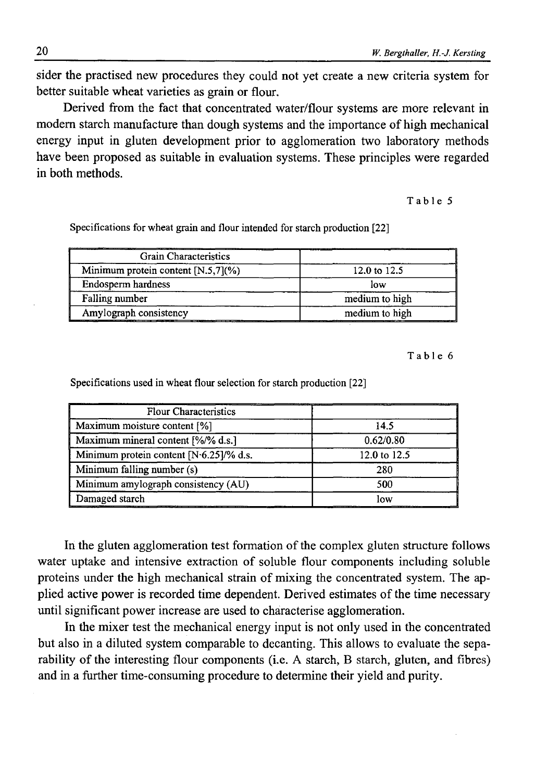sider the practised new procedures they could not yet create a new criteria system for better suitable wheat varieties as grain or flour.

Derived from the fact that concentrated water/flour systems are more relevant in modem starch manufacture than dough systems and the importance of high mechanical energy input in gluten development prior to agglomeration two laboratory methods have been proposed as suitable in evaluation systems. These principles were regarded in both methods.

## Table 5

Specifications for wheat grain and flour intended for starch production [22]

| Grain Characteristics                 |                |
|---------------------------------------|----------------|
| Minimum protein content $[N.5,7](\%)$ | 12.0 to 12.5   |
| Endosperm hardness                    | low            |
| Falling number                        | medium to high |
| Amylograph consistency                | medium to high |

**Table 6**

| <b>Flour Characteristics</b>              |              |
|-------------------------------------------|--------------|
| Maximum moisture content [%]              | 14.5         |
| Maximum mineral content [%/% d.s.]        | 0.62/0.80    |
| Minimum protein content $[N06.25]/%$ d.s. | 12.0 to 12.5 |
| Minimum falling number (s)                | 280          |
| Minimum amylograph consistency (AU)       | 500          |
| Damaged starch                            | low          |

Specifications used in wheat flour selection for starch production [22]

In the gluten agglomeration test formation of the complex gluten structure follows water uptake and intensive extraction of soluble flour components including soluble proteins under the high mechanical strain of mixing the concentrated system. The applied active power is recorded time dependent. Derived estimates of the time necessary until significant power increase are used to characterise agglomeration.

In the mixer test the mechanical energy input is not only used in the concentrated but also in a diluted system comparable to decanting. This allows to evaluate the separability of the interesting flour components (i.e. A starch, B starch, gluten, and fibres) and in a further time-consuming procedure to determine their yield and purity.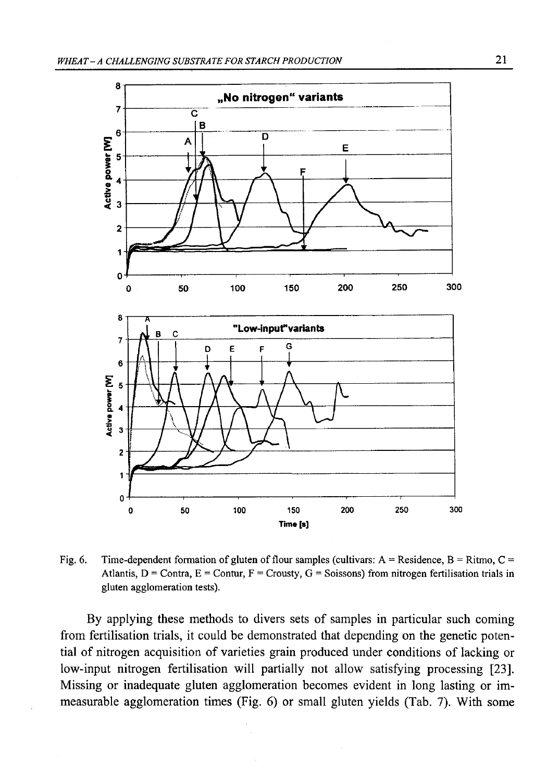

Fig. 6. Time-dependent formation of gluten of flour samples (cultivars:  $A =$  Residence,  $B =$  Ritmo,  $C =$ Atlantis,  $D =$  Contra,  $E =$  Contur,  $F =$  Crousty,  $G =$  Soissons) from nitrogen fertilisation trials in gluten agglomeration tests).

By applying these methods to divers sets of samples in particular such coming from fertilisation trials, it could be demonstrated that depending on the genetic potential of nitrogen acquisition of varieties grain produced under conditions of lacking or low-input nitrogen fertilisation will partially not allow satisfying processing [23]. Missing or inadequate gluten agglomeration becomes evident in long lasting or immeasurable agglomeration times (Fig. 6) or small gluten yields (Tab. 7). With some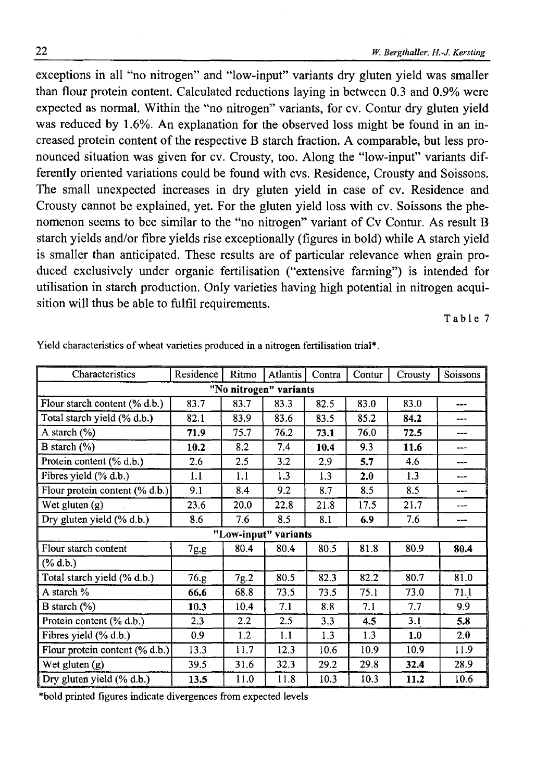exceptions in all "no nitrogen" and "low-input" variants dry gluten yield was smaller than flour protein content. Calculated reductions laying in between 0.3 and 0.9% were expected as normal. Within the "no nitrogen" variants, for cv. Contur dry gluten yield was reduced by 1.6%. An explanation for the observed loss might be found in an increased protein content of the respective B starch fraction. A comparable, but less pronounced situation was given for cv. Crousty, too. Along the "low-input" variants differently oriented variations could be found with cvs. Residence, Crousty and Soissons. The small unexpected increases in dry gluten yield in case of cv. Residence and Crousty cannot be explained, yet. For the gluten yield loss with cv. Soissons the phenomenon seems to bee similar to the "no nitrogen" variant of Cv Contur. As result B starch yields and/or fibre yields rise exceptionally (figures in bold) while A starch yield is smaller than anticipated. These results are of particular relevance when grain produced exclusively under organic fertilisation ("extensive farming") is intended for utilisation in starch production. Only varieties having high potential in nitrogen acquisition will thus be able to fulfil requirements.

Table 7

| Characteristics                   | Residence | Ritmo | <b>Atlantis</b>      | Contra | Contur | Crousty | Soissons |
|-----------------------------------|-----------|-------|----------------------|--------|--------|---------|----------|
| "No nitrogen" variants            |           |       |                      |        |        |         |          |
| Flour starch content (% d.b.)     | 83.7      | 83.7  | 83.3                 | 82.5   | 83.0   | 83.0    | $---$    |
| Total starch yield (% d.b.)       | 82.1      | 83.9  | 83.6                 | 83.5   | 85.2   | 84.2    | ---      |
| A starch (%)                      | 71.9      | 75.7  | 76.2                 | 73.1   | 76.0   | 72.5    | ---      |
| B starch $(\%)$                   | 10.2      | 8.2   | 7.4                  | 10.4   | 9.3    | 11.6    | ---      |
| Protein content (% d.b.)          | 2.6       | 2.5   | 3.2                  | 2.9    | 5.7    | 4.6     | ---      |
| Fibres yield (% d.b.)             | 1.1       | 1.1   | 1.3                  | 1.3    | 2.0    | 1.3     | ---      |
| Flour protein content $(\%$ d.b.) | 9.1       | 8.4   | 9.2                  | 8.7    | 8.5    | 8.5     | ---      |
| Wet gluten (g)                    | 23.6      | 20.0  | 22.8                 | 21.8   | 17.5   | 21.7    | ---      |
| Dry gluten yield (% d.b.)         | 8.6       | 7.6   | 8.5                  | 8.1    | 6.9    | 7.6     | ---      |
|                                   |           |       | "Low-input" variants |        |        |         |          |
| Flour starch content              | 7g.g.     | 80.4  | 80.4                 | 80.5   | 81.8   | 80.9    | 80.4     |
| $(\%$ d.b.)                       |           |       |                      |        |        |         |          |
| Total starch yield (% d.b.)       | 76.g      | 7g.2  | 80.5                 | 82.3   | 82.2   | 80.7    | 81.0     |
| A starch %                        | 66.6      | 68.8  | 73.5                 | 73.5   | 75.1   | 73.0    | 71.1     |
| B starch $(\%)$                   | 10.3      | 10.4  | 7.1                  | 8.8    | 7.1    | 7.7     | 9.9      |
| Protein content (% d.b.)          | 2.3       | 2.2   | 2.5                  | 3.3    | 4.5    | 3.1     | 5.8      |
| Fibres yield (% d.b.)             | 0.9       | 1.2   | 1.1                  | 1.3    | 1.3    | 1.0     | 2.0      |
| Flour protein content (% d.b.)    | 13.3      | 11.7  | 12.3                 | 10.6   | 10.9   | 10.9    | 11.9     |
| Wet gluten $(g)$                  | 39.5      | 31.6  | 32.3                 | 29.2   | 29.8   | 32.4    | 28.9     |
| Dry gluten yield (% d.b.)         | 13.5      | 11.0  | 11.8                 | 10.3   | 10.3   | 11.2    | 10.6     |

Yield characteristics of wheat varieties produced in a nitrogen fertilisation trial\*.

\*bold printed figures indicate divergences from expected levels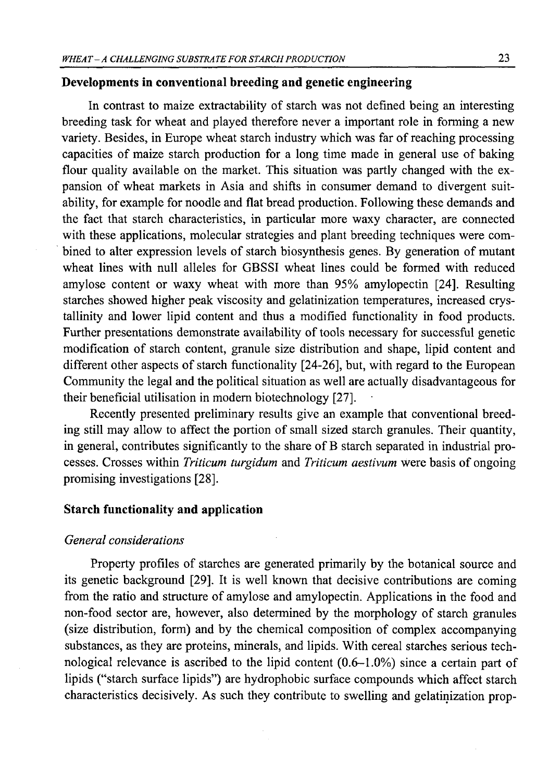## **Developments in conventional breeding and genetic engineering**

In contrast to maize extractability of starch was not defined being an interesting breeding task for wheat and played therefore never a important role in forming a new variety. Besides, in Europe wheat starch industry which was far of reaching processing capacities of maize starch production for a long time made in general use of baking flour quality available on the market. This situation was partly changed with the expansion of wheat markets in Asia and shifts in consumer demand to divergent suitability, for example for noodle and flat bread production. Following these demands and the fact that starch characteristics, in particular more waxy character, are connected with these applications, molecular strategies and plant breeding techniques were combined to alter expression levels of starch biosynthesis genes. By generation of mutant wheat lines with null alleles for GBSSI wheat lines could be formed with reduced amylose content or waxy wheat with more than 95% amylopectin [24]. Resulting starches showed higher peak viscosity and gelatinization temperatures, increased crystallinity and lower lipid content and thus a modified functionality in food products. Further presentations demonstrate availability of tools necessary for successful genetic modification of starch content, granule size distribution and shape, lipid content and different other aspects of starch functionality [24-26], but, with regard to the European Community the legal and the political situation as well are actually disadvantageous for their beneficial utilisation in modem biotechnology [27].

Recently presented preliminary results give an example that conventional breeding still may allow to affect the portion of small sized starch granules. Their quantity, in general, contributes significantly to the share of B starch separated in industrial processes. Crosses within *Triticum turgidum* and *Triticum aestivum* were basis of ongoing promising investigations [28].

## **Starch functionality and application**

### *General considerations*

Property profiles of starches are generated primarily by the botanical source and its genetic background [29]. It is well known that decisive contributions are coming from the ratio and structure of amylose and amylopectin. Applications in the food and non-food sector are, however, also determined by the morphology of starch granules (size distribution, form) and by the chemical composition of complex accompanying substances, as they are proteins, minerals, and lipids. With cereal starches serious technological relevance is ascribed to the lipid content (0.6-1.0%) since a certain part of lipids ("starch surface lipids") are hydrophobic surface compounds which affect starch characteristics decisively. As such they contribute to swelling and gelatinization prop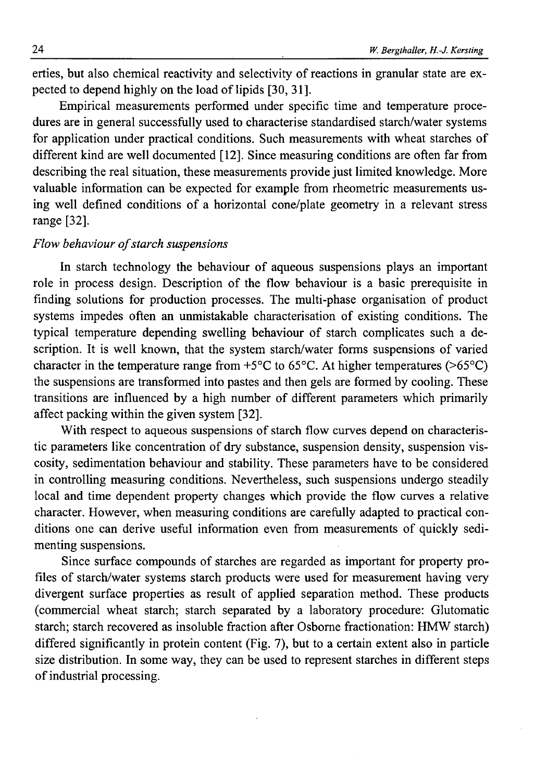erties, but also chemical reactivity and selectivity of reactions in granular state are expected to depend highly on the load of lipids [30, 31].

Empirical measurements performed under specific time and temperature procedures are in general successfully used to characterise standardised starch/water systems for application under practical conditions. Such measurements with wheat starches of different kind are well documented [12]. Since measuring conditions are often far from describing the real situation, these measurements provide just limited knowledge. More valuable information can be expected for example from rheometric measurements using well defined conditions of a horizontal cone/plate geometry in a relevant stress range [32],

# *Flow behaviour of starch suspensions*

In starch technology the behaviour of aqueous suspensions plays an important role in process design. Description of the flow behaviour is a basic prerequisite in finding solutions for production processes. The multi-phase organisation of product systems impedes often an unmistakable characterisation of existing conditions. The typical temperature depending swelling behaviour of starch complicates such a description. It is well known, that the system starch/water forms suspensions of varied character in the temperature range from  $+5^{\circ}$ C to 65 $\circ$ C. At higher temperatures (>65 $\circ$ C) the suspensions are transformed into pastes and then gels are formed by cooling. These transitions are influenced by a high number of different parameters which primarily affect packing within the given system [32].

With respect to aqueous suspensions of starch flow curves depend on characteristic parameters like concentration of dry substance, suspension density, suspension viscosity, sedimentation behaviour and stability. These parameters have to be considered in controlling measuring conditions. Nevertheless, such suspensions undergo steadily local and time dependent property changes which provide the flow curves a relative character. However, when measuring conditions are carefully adapted to practical conditions one can derive useful information even from measurements of quickly sedimenting suspensions.

Since surface compounds of starches are regarded as important for property profiles of starch/water systems starch products were used for measurement having very divergent surface properties as result of applied separation method. These products (commercial wheat starch; starch separated by a laboratory procedure: Glutomatic starch; starch recovered as insoluble fraction after Osborne fractionation: HMW starch) differed significantly in protein content (Fig. 7), but to a certain extent also in particle size distribution. In some way, they can be used to represent starches in different steps of industrial processing.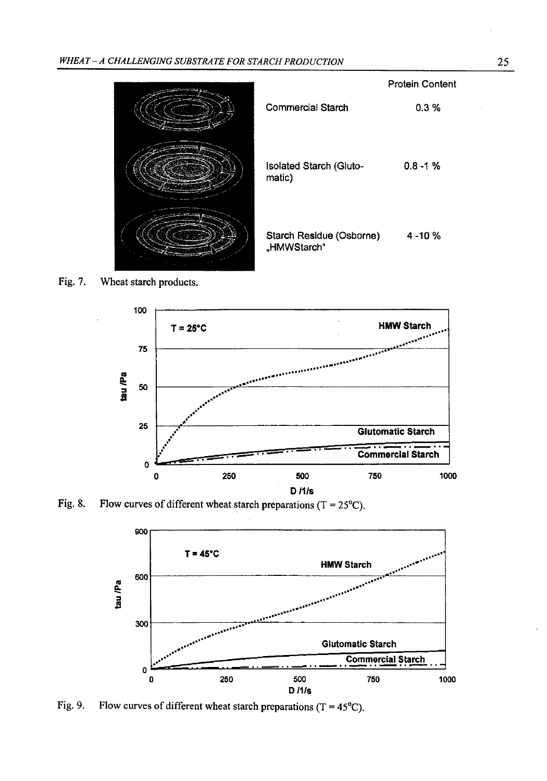

Fig. 7. Wheat starch products.



Fig. 8. Flow curves of different wheat starch preparations ( $T = 25^{\circ}C$ ).



Fig. 9. Flow curves of different wheat starch preparations (T =  $45^{\circ}$ C).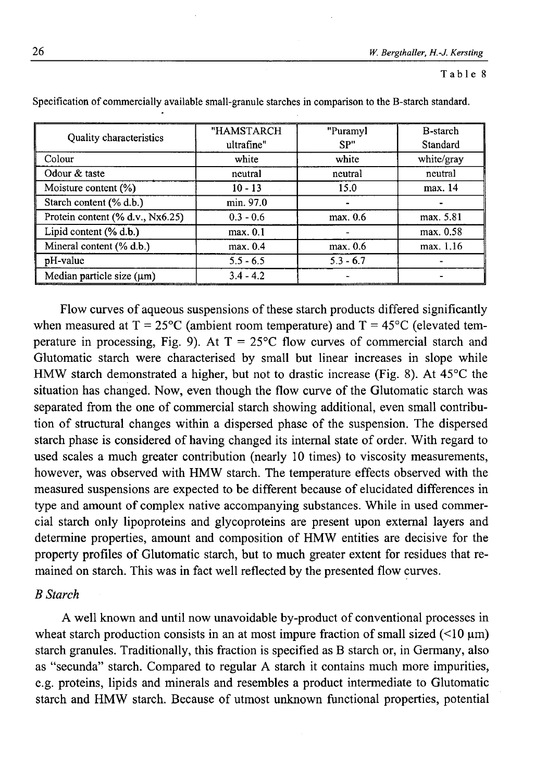### **Table 8**

|                                  | "HAMSTARCH  | "Puramyl    | B-starch   |
|----------------------------------|-------------|-------------|------------|
| Quality characteristics          | ultrafine"  | SP"         | Standard   |
| Colour                           | white       | white       | white/gray |
| Odour & taste                    | neutral     | neutral     | neutral    |
| Moisture content $(\%)$          | $10 - 13$   | 15.0        | max. 14    |
| Starch content (% d.b.)          | min. 97.0   |             |            |
| Protein content (% d.v., Nx6.25) | $0.3 - 0.6$ | max. 0.6    | max. 5.81  |
| Lipid content (% d.b.)           | max. 0.1    |             | max. 0.58  |
| Mineral content (% d.b.)         | max. 0.4    | max. 0.6    | max. 1.16  |
| pH-value                         | $5.5 - 6.5$ | $5.3 - 6.7$ |            |
| Median particle size $(\mu m)$   | $3.4 - 4.2$ |             |            |

Specification of commercially available small-granule starches in comparison to the B-starch standard.

Flow curves of aqueous suspensions of these starch products differed significantly when measured at  $T = 25^{\circ}C$  (ambient room temperature) and  $T = 45^{\circ}C$  (elevated temperature in processing, Fig. 9). At  $T = 25^{\circ}$ C flow curves of commercial starch and Glutomatic starch were characterised by small but linear increases in slope while HMW starch demonstrated a higher, but not to drastic increase (Fig. 8). At 45°C the situation has changed. Now, even though the flow curve of the Glutomatic starch was separated from the one of commercial starch showing additional, even small contribution of structural changes within a dispersed phase of the suspension. The dispersed starch phase is considered of having changed its internal state of order. With regard to used scales a much greater contribution (nearly 10 times) to viscosity measurements, however, was observed with HMW starch. The temperature effects observed with the measured suspensions are expected to be different because of elucidated differences in type and amount of complex native accompanying substances. While in used commercial starch only lipoproteins and glycoproteins are present upon external layers and determine properties, amount and composition of HMW entities are decisive for the property profiles of Glutomatic starch, but to much greater extent for residues that remained on starch. This was in fact well reflected by the presented flow curves.

## *B Starch*

A well known and until now unavoidable by-product of conventional processes in wheat starch production consists in an at most impure fraction of small sized  $(\leq 10 \text{ }\mu\text{m})$ starch granules. Traditionally, this fraction is specified as B starch or, in Germany, also as "secunda" starch. Compared to regular A starch it contains much more impurities, e.g. proteins, lipids and minerals and resembles a product intermediate to Glutomatic starch and HMW starch. Because of utmost unknown functional properties, potential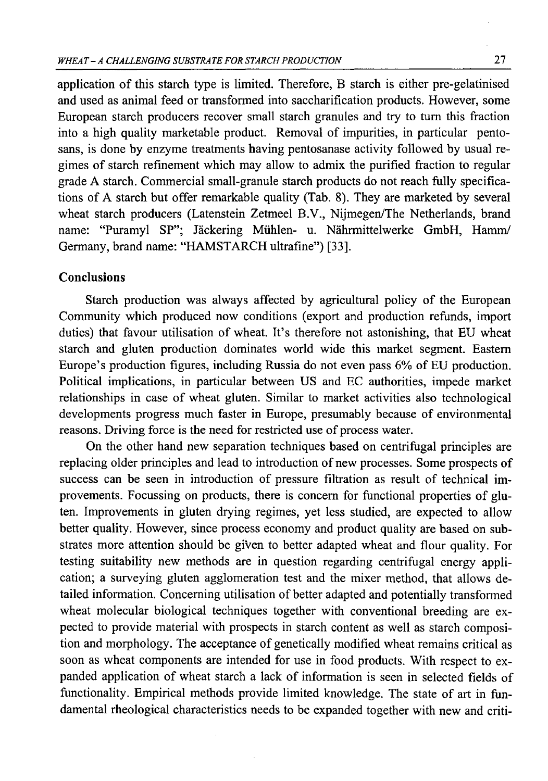application of this starch type is limited. Therefore, B starch is either pre-gelatinised and used as animal feed or transformed into saccharification products. However, some European starch producers recover small starch granules and try to turn this fraction into a high quality marketable product. Removal of impurities, in particular pentosans, is done by enzyme treatments having pentosanase activity followed by usual regimes of starch refinement which may allow to admix the purified fraction to regular grade A starch. Commercial small-granule starch products do not reach fully specifications of A starch but offer remarkable quality (Tab. 8). They are marketed by several wheat starch producers (Latenstein Zetmeel B.V., Nijmegen/The Netherlands, brand name: "Puramyl SP"; Jäckering Mühlen- u. Nährmittelwerke GmbH, Hamm/ Germany, brand name: "HAMSTARCH ultrafine") [33].

## **Conclusions**

Starch production was always affected by agricultural policy of the European Community which produced now conditions (export and production refunds, import duties) that favour utilisation of wheat. It's therefore not astonishing, that EU wheat starch and gluten production dominates world wide this market segment. Eastern Europe's production figures, including Russia do not even pass 6% of EU production. Political implications, in particular between US and EC authorities, impede market relationships in case of wheat gluten. Similar to market activities also technological developments progress much faster in Europe, presumably because of environmental reasons. Driving force is the need for restricted use of process water.

On the other hand new separation techniques based on centrifugal principles are replacing older principles and lead to introduction of new processes. Some prospects of success can be seen in introduction of pressure filtration as result of technical improvements. Focussing on products, there is concern for functional properties of gluten. Improvements in gluten drying regimes, yet less studied, are expected to allow better quality. However, since process economy and product quality are based on substrates more attention should be given to better adapted wheat and flour quality. For testing suitability new methods are in question regarding centrifugal energy application; a surveying gluten agglomeration test and the mixer method, that allows detailed information. Concerning utilisation of better adapted and potentially transformed wheat molecular biological techniques together with conventional breeding are expected to provide material with prospects in starch content as well as starch composition and morphology. The acceptance of genetically modified wheat remains critical as soon as wheat components are intended for use in food products. With respect to expanded application of wheat starch a lack of information is seen in selected fields of functionality. Empirical methods provide limited knowledge. The state of art in fundamental rheological characteristics needs to be expanded together with new and criti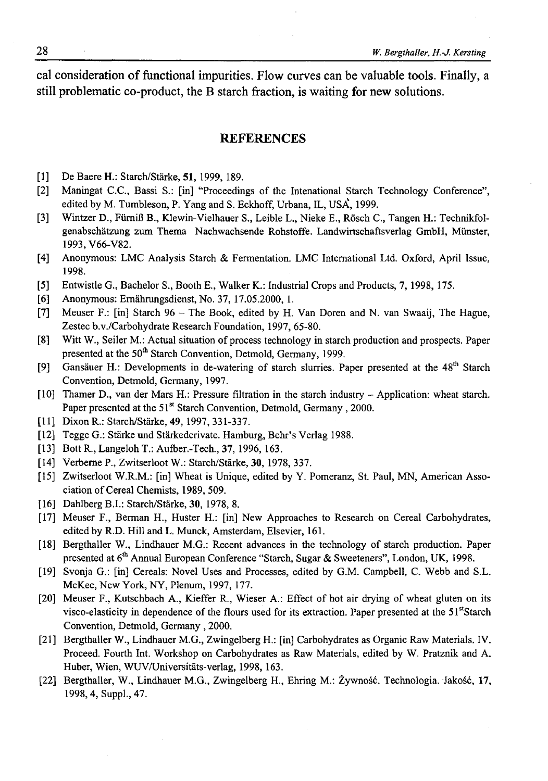cal consideration of functional impurities. Flow curves can be valuable tools. Finally, a still problematic co-product, the B starch fraction, is waiting for new solutions.

### **REFERENCES**

- [1] De Baere H.: Starch/Stärke, 51, 1999, 189.
- [2] Maningat C.C., Bassi S.: [in] "Proceedings of the Intenational Starch Technology Conference", edited by M. Tumbleson, P. Yang and S. Eckhoff, Urbana, IL, USA, 1999.
- [3] Wintzer D., FiimiB B., Klewin-Vielhauer S., Leible L., Nieke E., Rosch C., Tangen H.: Technikfolgenabschatzung zum Thema Nachwachsende Rohstoffe. Landwirtschaftsverlag GmbH, Munster, 1993, V66-V82.
- [4] Anonymous: LMC Analysis Starch & Fermentation. LMC International Ltd. Oxford, April Issue, 1998.
- [5] Entwistle G., Bachelor S., Booth E., Walker K.: Industrial Crops and Products, 7, 1998, 175.
- [6] Anonymous: Ernährungsdienst, No. 37, 17.05.2000, 1.
- [7] Meuser F.: [in] Starch 96 The Book, edited by H. Van Doren and N. van Swaaij, The Hague, Zestec b.v./Carbohydrate Research Foundation, 1997, 65-80.
- [8] Witt W., Seiler M.: Actual situation of process technology in starch production and prospects. Paper presented at the 50<sup>th</sup> Starch Convention, Detmold, Germany, 1999.
- [9] Gansäuer H.: Developments in de-watering of starch slurries. Paper presented at the 48<sup>th</sup> Starch Convention, Detmold, Germany, 1997.
- [10] Thamer D., van der Mars H.: Pressure filtration in the starch industry Application: wheat starch. Paper presented at the 51<sup>st</sup> Starch Convention, Detmold, Germany, 2000.
- [11] Dixon R.: Starch/Starke, 49, 1997, 331-337.
- [12] Tegge G.: Starke und Starkederivate. Hamburg, Behr's Verlag 1988.
- [13] Bott R., Langeloh T.: Aufber.-Tech., 37, 1996, 163.
- [14] Verberne P., Zwitserloot W.: Starch/Stärke, 30, 1978, 337.
- [15] Zwitserloot W.R.M.: [in] Wheat is Unique, edited by Y. Pomeranz, St. Paul, MN, American Association of Cereal Chemists, 1989, 509.
- [16] Dahlberg B.I.: Starch/Stärke, 30, 1978, 8.
- [17] Meuser F., Berman H., Huster H.: [in] New Approaches to Research on Cereal Carbohydrates, edited by R.D. Hill and L. Munck, Amsterdam, Elsevier, 161.
- [18] Bergthaller W., Lindhauer M.G.: Recent advances in the technology of starch production. Paper presented at 6<sup>th</sup> Annual European Conference "Starch, Sugar & Sweeteners", London, UK, 1998.
- [19] Svonja G.: [in] Cereals: Novel Uses and Processes, edited by G.M. Campbell, C. Webb and S.L. McKee, New York, NY, Plenum, 1997, 177.
- [20] Meuser F., Kutschbach A., Kieffer R., Wieser A.: Effect of hot air drying of wheat gluten on its visco-elasticity in dependence of the flours used for its extraction. Paper presented at the 51stStarch Convention, Detmold, Germany, 2000.
- [21] Bergthaller W., Lindhauer M.G., Zwingelberg H.: [in] Carbohydrates as Organic Raw Materials. IV. Proceed. Fourth Int. Workshop on Carbohydrates as Raw Materials, edited by W. Pratznik and A. Huber, Wien, WUV/Universitäts-verlag, 1998, 163.
- [22] Bergthaller, W., Lindhauer M.G., Zwingelberg H., Ehring M.: Żywność. Technologia. Jakość, 17, 1998,4, Suppl., 47.